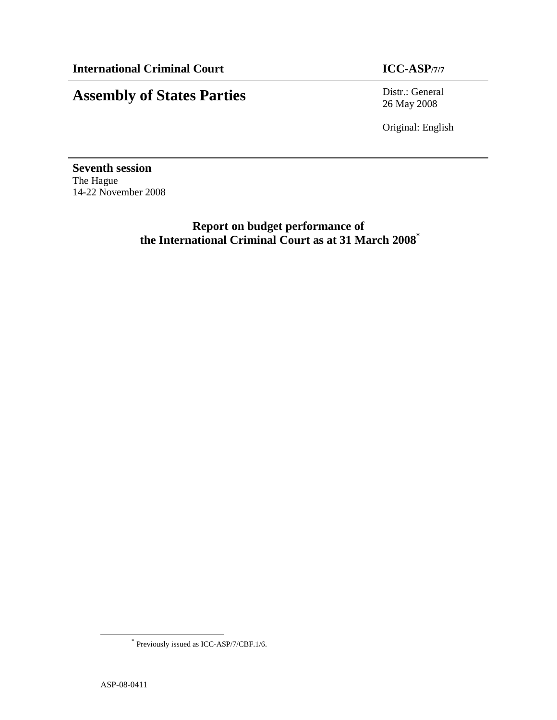# **Assembly of States Parties** Distr.: General

26 May 2008

Original: English

**Seventh session**  The Hague 14-22 November 2008

> **Report on budget performance of the International Criminal Court as at 31 March 2008\***

-

<sup>\*</sup> Previously issued as ICC-ASP/7/CBF.1/6.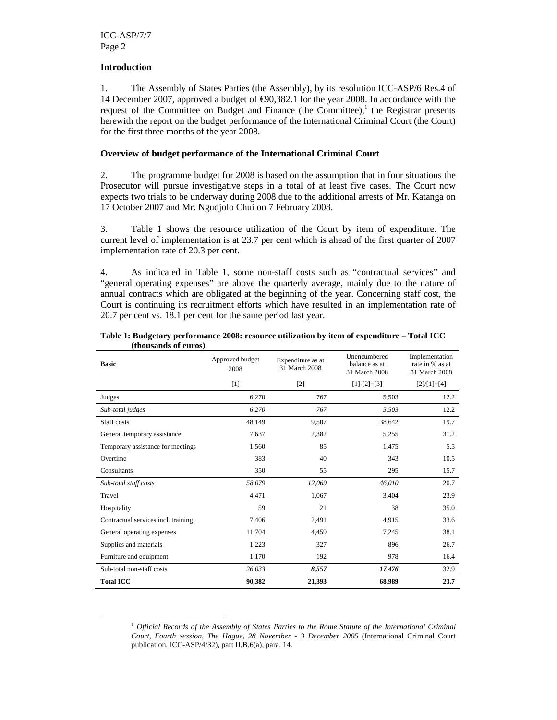# **Introduction**

-

1. The Assembly of States Parties (the Assembly), by its resolution ICC-ASP/6 Res.4 of 14 December 2007, approved a budget of €90,382.1 for the year 2008. In accordance with the request of the Committee on Budget and Finance (the Committee), $<sup>1</sup>$  the Registrar presents</sup> herewith the report on the budget performance of the International Criminal Court (the Court) for the first three months of the year 2008.

# **Overview of budget performance of the International Criminal Court**

2. The programme budget for 2008 is based on the assumption that in four situations the Prosecutor will pursue investigative steps in a total of at least five cases. The Court now expects two trials to be underway during 2008 due to the additional arrests of Mr. Katanga on 17 October 2007 and Mr. Ngudjolo Chui on 7 February 2008.

3. Table 1 shows the resource utilization of the Court by item of expenditure. The current level of implementation is at 23.7 per cent which is ahead of the first quarter of 2007 implementation rate of 20.3 per cent.

4. As indicated in Table 1, some non-staff costs such as "contractual services" and "general operating expenses" are above the quarterly average, mainly due to the nature of annual contracts which are obligated at the beginning of the year. Concerning staff cost, the Court is continuing its recruitment efforts which have resulted in an implementation rate of 20.7 per cent vs. 18.1 per cent for the same period last year.

| thoubunup of car op<br><b>Basic</b> | Approved budget<br>2008 | Expenditure as at<br>31 March 2008 |               | Implementation<br>rate in % as at<br>31 March 2008 |
|-------------------------------------|-------------------------|------------------------------------|---------------|----------------------------------------------------|
|                                     | $[1]$                   | $[2]$                              | $[1]-[2]=[3]$ | $[2]/[1]=[4]$                                      |
| Judges                              | 6,270                   | 767                                | 5,503         | 12.2                                               |
| Sub-total judges                    | 6,270                   | 767                                | 5,503         | 12.2                                               |
| Staff costs                         | 48,149                  | 9,507                              | 38,642        | 19.7                                               |
| General temporary assistance        | 7,637                   | 2,382                              | 5,255         | 31.2                                               |
| Temporary assistance for meetings   | 1,560                   | 85                                 | 1,475         | 5.5                                                |
| Overtime                            | 383                     | 40                                 | 343           | 10.5                                               |
| Consultants                         | 350                     | 55                                 | 295           | 15.7                                               |
| Sub-total staff costs               | 58,079                  | 12,069                             | 46,010        | 20.7                                               |
| Travel                              | 4,471                   | 1,067                              | 3,404         | 23.9                                               |
| Hospitality                         | 59                      | 21                                 | 38            | 35.0                                               |
| Contractual services incl. training | 7,406                   | 2,491                              | 4,915         | 33.6                                               |
| General operating expenses          | 11,704                  | 4,459                              | 7,245         | 38.1                                               |
| Supplies and materials              | 1,223                   | 327                                | 896           | 26.7                                               |
| Furniture and equipment             | 1,170                   | 192                                | 978           | 16.4                                               |
| Sub-total non-staff costs           | 26,033                  | 8,557                              | 17,476        | 32.9                                               |
| <b>Total ICC</b>                    | 90,382                  | 21,393                             | 68,989        | 23.7                                               |

**Table 1: Budgetary performance 2008: resource utilization by item of expenditure – Total ICC (thousands of euros)** 

<sup>1</sup> *Official Records of the Assembly of States Parties to the Rome Statute of the International Criminal Court, Fourth session, The Hague, 28 November - 3 December 2005* (International Criminal Court publication, ICC-ASP/4/32), part II.B.6(a), para. 14.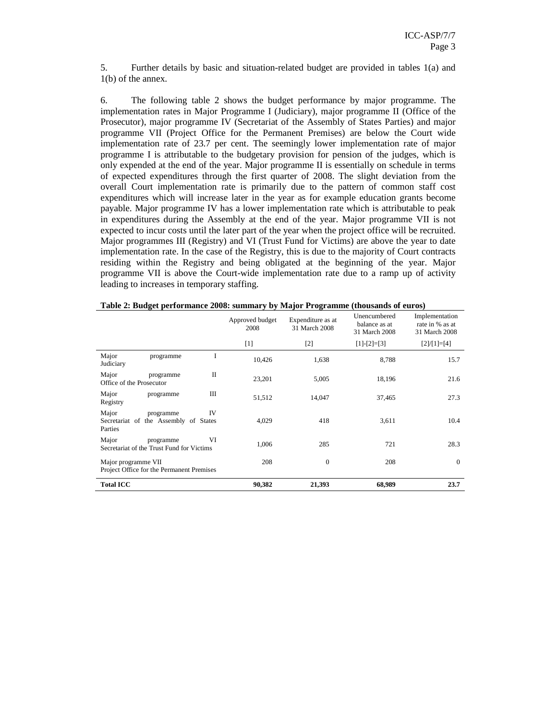5. Further details by basic and situation-related budget are provided in tables 1(a) and 1(b) of the annex.

6. The following table 2 shows the budget performance by major programme. The implementation rates in Major Programme I (Judiciary), major programme II (Office of the Prosecutor), major programme IV (Secretariat of the Assembly of States Parties) and major programme VII (Project Office for the Permanent Premises) are below the Court wide implementation rate of 23.7 per cent. The seemingly lower implementation rate of major programme I is attributable to the budgetary provision for pension of the judges, which is only expended at the end of the year. Major programme II is essentially on schedule in terms of expected expenditures through the first quarter of 2008. The slight deviation from the overall Court implementation rate is primarily due to the pattern of common staff cost expenditures which will increase later in the year as for example education grants become payable. Major programme IV has a lower implementation rate which is attributable to peak in expenditures during the Assembly at the end of the year. Major programme VII is not expected to incur costs until the later part of the year when the project office will be recruited. Major programmes III (Registry) and VI (Trust Fund for Victims) are above the year to date implementation rate. In the case of the Registry, this is due to the majority of Court contracts residing within the Registry and being obligated at the beginning of the year. Major programme VII is above the Court-wide implementation rate due to a ramp up of activity leading to increases in temporary staffing.

|                                                                              | Approved budget<br>2008 | Expenditure as at<br>31 March 2008 | Unencumbered<br>balance as at<br>31 March 2008 | Implementation<br>rate in % as at<br>31 March 2008 |
|------------------------------------------------------------------------------|-------------------------|------------------------------------|------------------------------------------------|----------------------------------------------------|
|                                                                              | $[1]$                   | $[2]$                              | $[1]-[2]=[3]$                                  | $[2]/[1]=[4]$                                      |
| Major<br>I<br>programme<br>Judiciary                                         | 10,426                  | 1,638                              | 8,788                                          | 15.7                                               |
| П<br>Major<br>programme<br>Office of the Prosecutor                          | 23,201                  | 5,005                              | 18,196                                         | 21.6                                               |
| Major<br>Ш<br>programme<br>Registry                                          | 51,512                  | 14,047                             | 37,465                                         | 27.3                                               |
| Major<br>IV<br>programme<br>Secretariat of the Assembly of States<br>Parties | 4,029                   | 418                                | 3,611                                          | 10.4                                               |
| Major<br>VI<br>programme<br>Secretariat of the Trust Fund for Victims        | 1,006                   | 285                                | 721                                            | 28.3                                               |
| Major programme VII<br>Project Office for the Permanent Premises             | 208                     | $\overline{0}$                     | 208                                            | $\overline{0}$                                     |
| <b>Total ICC</b>                                                             | 90,382                  | 21,393                             | 68,989                                         | 23.7                                               |

|  | Table 2: Budget performance 2008: summary by Major Programme (thousands of euros) |
|--|-----------------------------------------------------------------------------------|
|--|-----------------------------------------------------------------------------------|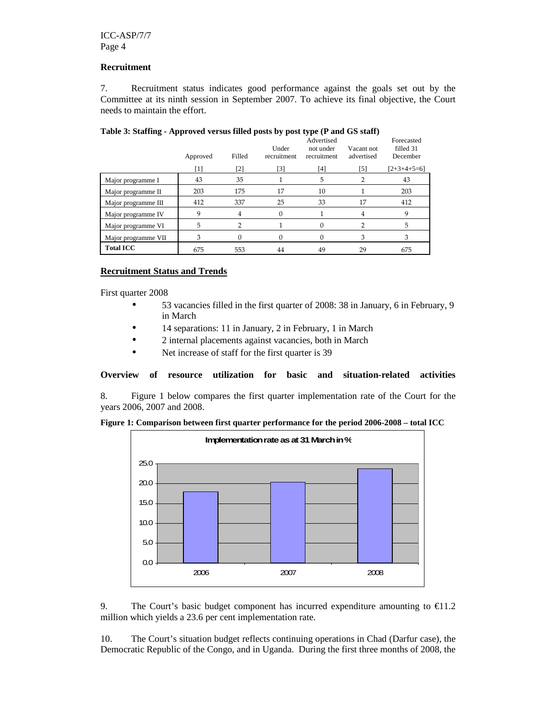## **Recruitment**

7. Recruitment status indicates good performance against the goals set out by the Committee at its ninth session in September 2007. To achieve its final objective, the Court needs to maintain the effort.

|                     | Approved | Filled | <b>THOICE</b> I DIMITING THE PLOTURE TULDED THRUS PODIS BY PODE CI PC (1) WHILE OD DIMITI<br>Advertised<br>Under<br>Vacant not<br>not under<br>advertised<br>recruitment<br>recruitment |     |          | Forecasted<br>filled 31<br>December |
|---------------------|----------|--------|-----------------------------------------------------------------------------------------------------------------------------------------------------------------------------------------|-----|----------|-------------------------------------|
|                     | $[1]$    | [2]    | $[3]$                                                                                                                                                                                   | [4] | $^{[5]}$ | $[2+3+4+5=6]$                       |
| Major programme I   | 43       | 35     |                                                                                                                                                                                         | 5   |          | 43                                  |
| Major programme II  | 203      | 175    | 17                                                                                                                                                                                      | 10  |          | 203                                 |
| Major programme III | 412      | 337    | 25                                                                                                                                                                                      | 33  | 17       | 412                                 |
| Major programme IV  | 9        | 4      | 0                                                                                                                                                                                       |     | 4        | 9                                   |
| Major programme VI  | 5        | 2      |                                                                                                                                                                                         | 0   |          | 5                                   |
| Major programme VII | 3        | 0      | 0                                                                                                                                                                                       | 0   | 3        | 3                                   |
| <b>Total ICC</b>    | 675      | 553    | 44                                                                                                                                                                                      | 49  | 29       | 675                                 |

# **Table 3: Staffing - Approved versus filled posts by post type (P and GS staff)**

# **Recruitment Status and Trends**

First quarter 2008

- 53 vacancies filled in the first quarter of 2008: 38 in January, 6 in February, 9 in March
- 14 separations: 11 in January, 2 in February, 1 in March
- 2 internal placements against vacancies, both in March
- Net increase of staff for the first quarter is 39

**Overview of resource utilization for basic and situation-related activities** 

8. Figure 1 below compares the first quarter implementation rate of the Court for the years 2006, 2007 and 2008.





9. The Court's basic budget component has incurred expenditure amounting to  $\epsilon$ 11.2 million which yields a 23.6 per cent implementation rate.

10. The Court's situation budget reflects continuing operations in Chad (Darfur case), the Democratic Republic of the Congo, and in Uganda. During the first three months of 2008, the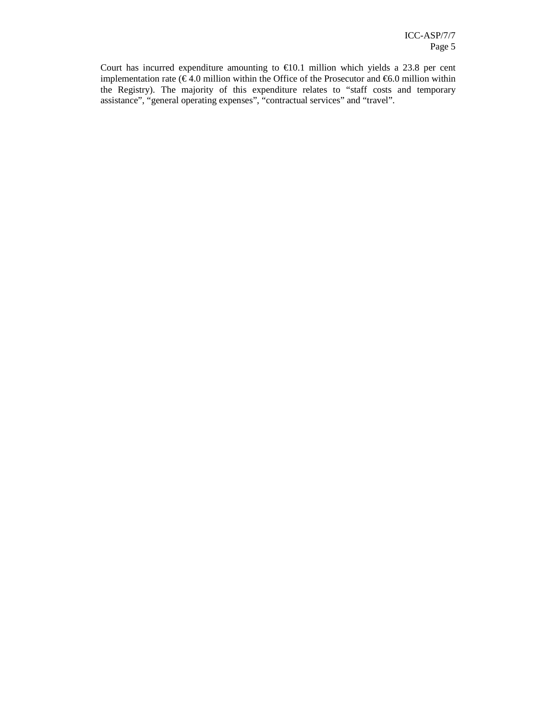Court has incurred expenditure amounting to  $E10.1$  million which yields a 23.8 per cent implementation rate ( $\epsilon$  4.0 million within the Office of the Prosecutor and  $\epsilon$ 6.0 million within the Registry). The majority of this expenditure relates to "staff costs and temporary assistance", "general operating expenses", "contractual services" and "travel".